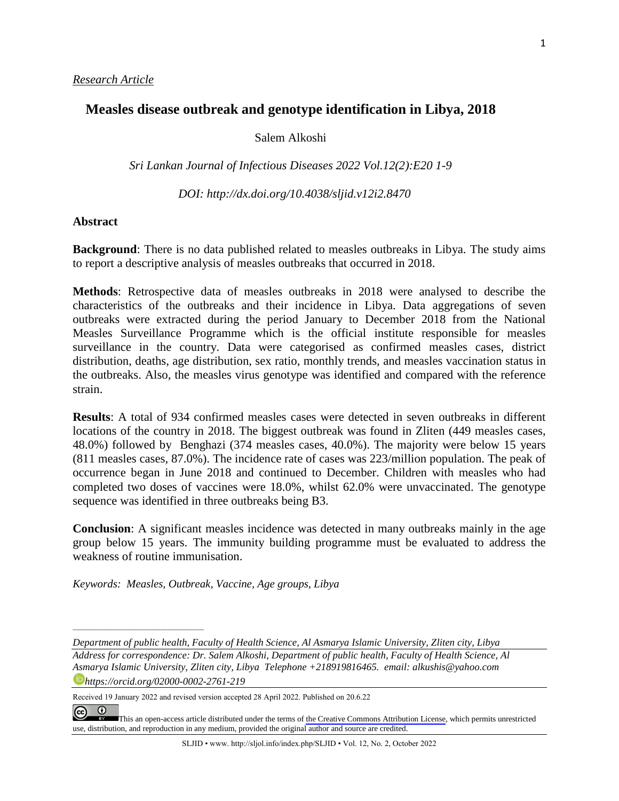## **Measles disease outbreak and genotype identification in Libya, 2018**

Salem Alkoshi

*Sri Lankan Journal of Infectious Diseases 2022 Vol.12(2):E20 1-9*

 *DOI: [http://dx.doi.org/1](about:blank)0.4038/sljid.v12i2.8470*

#### **Abstract**

**Background**: There is no data published related to measles outbreaks in Libya. The study aims to report a descriptive analysis of measles outbreaks that occurred in 2018.

**Methods**: Retrospective data of measles outbreaks in 2018 were analysed to describe the characteristics of the outbreaks and their incidence in Libya. Data aggregations of seven outbreaks were extracted during the period January to December 2018 from the National Measles Surveillance Programme which is the official institute responsible for measles surveillance in the country. Data were categorised as confirmed measles cases, district distribution, deaths, age distribution, sex ratio, monthly trends, and measles vaccination status in the outbreaks. Also, the measles virus genotype was identified and compared with the reference strain.

**Results**: A total of 934 confirmed measles cases were detected in seven outbreaks in different locations of the country in 2018. The biggest outbreak was found in Zliten (449 measles cases, 48.0%) followed by Benghazi (374 measles cases, 40.0%). The majority were below 15 years (811 measles cases, 87.0%). The incidence rate of cases was 223/million population. The peak of occurrence began in June 2018 and continued to December. Children with measles who had completed two doses of vaccines were 18.0%, whilst 62.0% were unvaccinated. The genotype sequence was identified in three outbreaks being B3.

**Conclusion**: A significant measles incidence was detected in many outbreaks mainly in the age group below 15 years. The immunity building programme must be evaluated to address the weakness of routine immunisation.

*Keywords: Measles, Outbreak, Vaccine, Age groups, Libya*

*\_\_\_\_\_\_\_\_\_\_\_\_\_\_\_\_\_\_\_\_\_\_\_\_\_\_\_\_\_\_\_\_\_\_\_\_\_\_\_\_*

*Department of public health, Faculty of Health Science, Al Asmarya Islamic University, Zliten city, Libya*

*Address for correspondence: Dr. Salem Alkoshi, Department of public health, Faculty of Health Science, Al Asmarya Islamic University, Zliten city, Libya Telephone +218919816465. email: alkushis@yahoo.com https://orcid.org/02000-0002-2761-219*

Received 19 January 2022 and revised version accepted 28 April 2022. Published on 20.6.22

 $\odot$  $\left($ [T](https://creativecommons.org/licenses/by/4.0/)his an open-access article distributed under the terms of the Creative Commons [Attribution](https://creativecommons.org/licenses/by/4.0/) License, which permits unrestricted use, distribution, and reproduction in any medium, provided the original author and source are credited.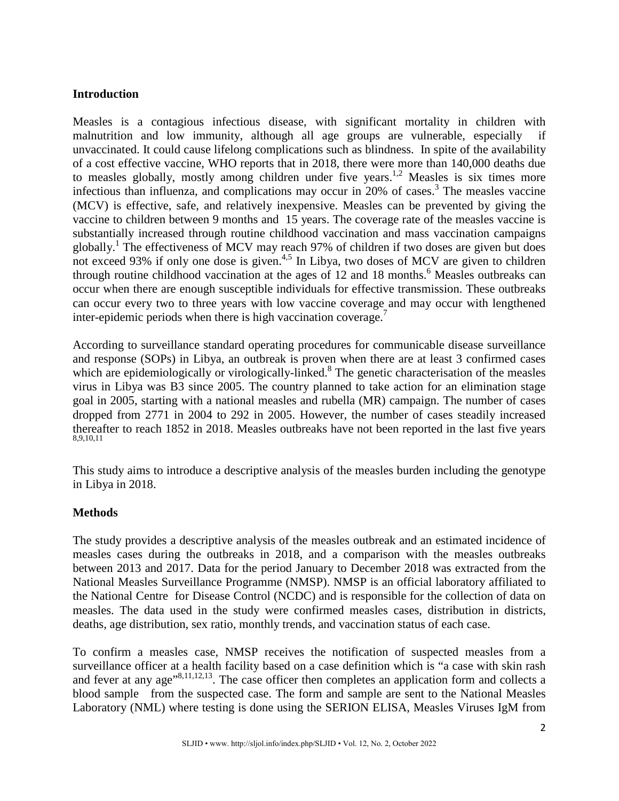## **Introduction**

Measles is a contagious infectious disease, with significant mortality in children with malnutrition and low immunity, although all age groups are vulnerable, especially if unvaccinated. It could cause lifelong complications such as blindness. In spite of the availability of a cost effective vaccine, WHO reports that in 2018, there were more than 140,000 deaths due to measles globally, mostly among children under five years.<sup>1,2</sup> Measles is six times more infectious than influenza, and complications may occur in  $20\%$  of cases.<sup>3</sup> The measles vaccine (MCV) is effective, safe, and relatively inexpensive. Measles can be prevented by giving the vaccine to children between 9 months and 15 years. The coverage rate of the measles vaccine is substantially increased through routine childhood vaccination and mass vaccination campaigns globally.<sup>1</sup> The effectiveness of MCV may reach 97% of children if two doses are given but does not exceed 93% if only one dose is given.<sup>4,5</sup> In Libya, two doses of MCV are given to children through routine childhood vaccination at the ages of 12 and 18 months. <sup>6</sup> Measles outbreaks can occur when there are enough susceptible individuals for effective transmission. These outbreaks can occur every two to three years with low vaccine coverage and may occur with lengthened inter-epidemic periods when there is high vaccination coverage.<sup>7</sup>

According to surveillance standard operating procedures for communicable disease surveillance and response (SOPs) in Libya, an outbreak is proven when there are at least 3 confirmed cases which are epidemiologically or virologically-linked.<sup>8</sup> The genetic characterisation of the measles virus in Libya was B3 since 2005. The country planned to take action for an elimination stage goal in 2005, starting with a national measles and rubella (MR) campaign. The number of cases dropped from 2771 in 2004 to 292 in 2005. However, the number of cases steadily increased thereafter to reach 1852 in 2018. Measles outbreaks have not been reported in the last five years 8,9,10,11

This study aims to introduce a descriptive analysis of the measles burden including the genotype in Libya in 2018.

## **Methods**

The study provides a descriptive analysis of the measles outbreak and an estimated incidence of measles cases during the outbreaks in 2018, and a comparison with the measles outbreaks between 2013 and 2017. Data for the period January to December 2018 was extracted from the National Measles Surveillance Programme (NMSP). NMSP is an official laboratory affiliated to the National Centre for Disease Control (NCDC) and is responsible for the collection of data on measles. The data used in the study were confirmed measles cases, distribution in districts, deaths, age distribution, sex ratio, monthly trends, and vaccination status of each case.

To confirm a measles case, NMSP receives the notification of suspected measles from a surveillance officer at a health facility based on a case definition which is "a case with skin rash and fever at any age<sup> $(8,11,12,13)$ </sup>. The case officer then completes an application form and collects a blood sample from the suspected case. The form and sample are sent to the National Measles Laboratory (NML) where testing is done using the SERION ELISA, Measles Viruses IgM from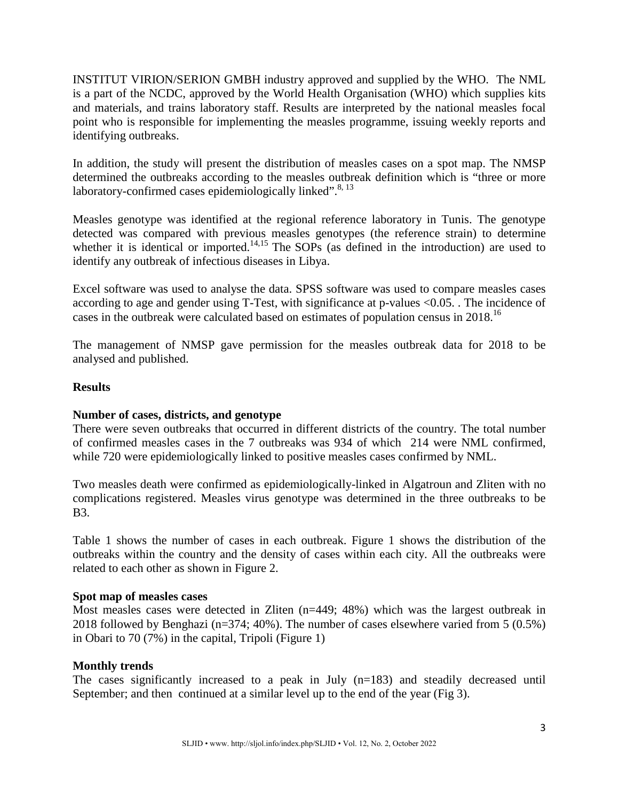INSTITUT VIRION/SERION GMBH industry approved and supplied by the WHO. The NML is a part of the NCDC, approved by the World Health Organisation (WHO) which supplies kits and materials, and trains laboratory staff. Results are interpreted by the national measles focal point who is responsible for implementing the measles programme, issuing weekly reports and identifying outbreaks.

In addition, the study will present the distribution of measles cases on a spot map. The NMSP determined the outbreaks according to the measles outbreak definition which is "three or more laboratory-confirmed cases epidemiologically linked".<sup>8, 13</sup>

Measles genotype was identified at the regional reference laboratory in Tunis. The genotype detected was compared with previous measles genotypes (the reference strain) to determine whether it is identical or imported.<sup>14,15</sup> The SOPs (as defined in the introduction) are used to identify any outbreak of infectious diseases in Libya.

Excel software was used to analyse the data. SPSS software was used to compare measles cases according to age and gender using T-Test, with significance at p-values <0.05. . The incidence of cases in the outbreak were calculated based on estimates of population census in 2018.<sup>16</sup>

The management of NMSP gave permission for the measles outbreak data for 2018 to be analysed and published.

## **Results**

## **Number of cases, districts, and genotype**

There were seven outbreaks that occurred in different districts of the country. The total number of confirmed measles cases in the 7 outbreaks was 934 of which 214 were NML confirmed, while 720 were epidemiologically linked to positive measles cases confirmed by NML.

Two measles death were confirmed as epidemiologically-linked in Algatroun and Zliten with no complications registered. Measles virus genotype was determined in the three outbreaks to be B3.

Table 1 shows the number of cases in each outbreak. Figure 1 shows the distribution of the outbreaks within the country and the density of cases within each city. All the outbreaks were related to each other as shown in Figure 2.

## **Spot map of measles cases**

Most measles cases were detected in Zliten (n=449; 48%) which was the largest outbreak in 2018 followed by Benghazi (n=374; 40%). The number of cases elsewhere varied from 5 (0.5%) in Obari to 70 (7%) in the capital, Tripoli (Figure 1)

## **Monthly trends**

The cases significantly increased to a peak in July (n=183) and steadily decreased until September; and then continued at a similar level up to the end of the year (Fig 3).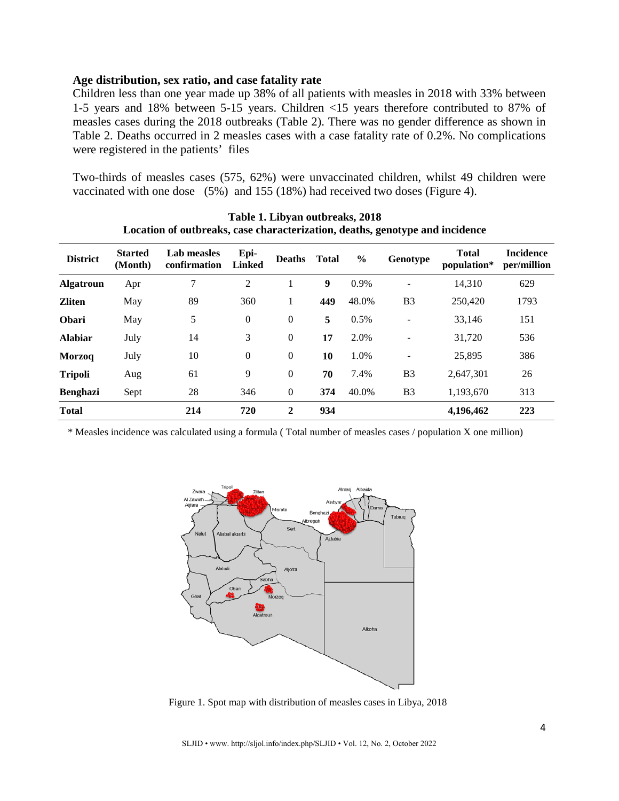#### **Age distribution, sex ratio, and case fatality rate**

Children less than one year made up 38% of all patients with measles in 2018 with 33% between 1-5 years and 18% between 5-15 years. Children <15 years therefore contributed to 87% of measles cases during the 2018 outbreaks (Table 2). There was no gender difference as shown in Table 2. Deaths occurred in 2 measles cases with a case fatality rate of 0.2%. No complications were registered in the patients' files

Two-thirds of measles cases (575, 62%) were unvaccinated children, whilst 49 children were vaccinated with one dose (5%) and 155 (18%) had received two doses (Figure 4).

| <b>District</b>  | <b>Started</b><br>(Month) | Lab measles<br>confirmation | Epi-<br><b>Linked</b> | <b>Deaths</b>  | <b>Total</b> | $\frac{6}{6}$ | Genotype                 | <b>Total</b><br>population* | <b>Incidence</b><br>per/million |
|------------------|---------------------------|-----------------------------|-----------------------|----------------|--------------|---------------|--------------------------|-----------------------------|---------------------------------|
| <b>Algatroun</b> | Apr                       | 7                           | 2                     |                | 9            | 0.9%          |                          | 14,310                      | 629                             |
| <b>Zliten</b>    | May                       | 89                          | 360                   |                | 449          | 48.0%         | B <sub>3</sub>           | 250,420                     | 1793                            |
| <b>Obari</b>     | May                       | 5                           | $\boldsymbol{0}$      | $\mathbf{0}$   | 5            | 0.5%          | $\overline{\phantom{a}}$ | 33,146                      | 151                             |
| <b>Alabiar</b>   | July                      | 14                          | 3                     | $\overline{0}$ | 17           | 2.0%          | $\overline{\phantom{a}}$ | 31,720                      | 536                             |
| <b>Morzog</b>    | July                      | 10                          | $\boldsymbol{0}$      | $\mathbf{0}$   | 10           | 1.0%          | $\overline{\phantom{a}}$ | 25,895                      | 386                             |
| <b>Tripoli</b>   | Aug                       | 61                          | 9                     | $\mathbf{0}$   | 70           | 7.4%          | B <sub>3</sub>           | 2,647,301                   | 26                              |
| <b>Benghazi</b>  | Sept                      | 28                          | 346                   | $\mathbf{0}$   | 374          | 40.0%         | B <sub>3</sub>           | 1,193,670                   | 313                             |
| <b>Total</b>     |                           | 214                         | 720                   | 2              | 934          |               |                          | 4,196,462                   | 223                             |

**Table 1. Libyan outbreaks, 2018 Location of outbreaks, case characterization, deaths, genotype and incidence** 

\* Measles incidence was calculated using a formula ( Total number of measles cases / population X one million)



Figure 1. Spot map with distribution of measles cases in Libya, 2018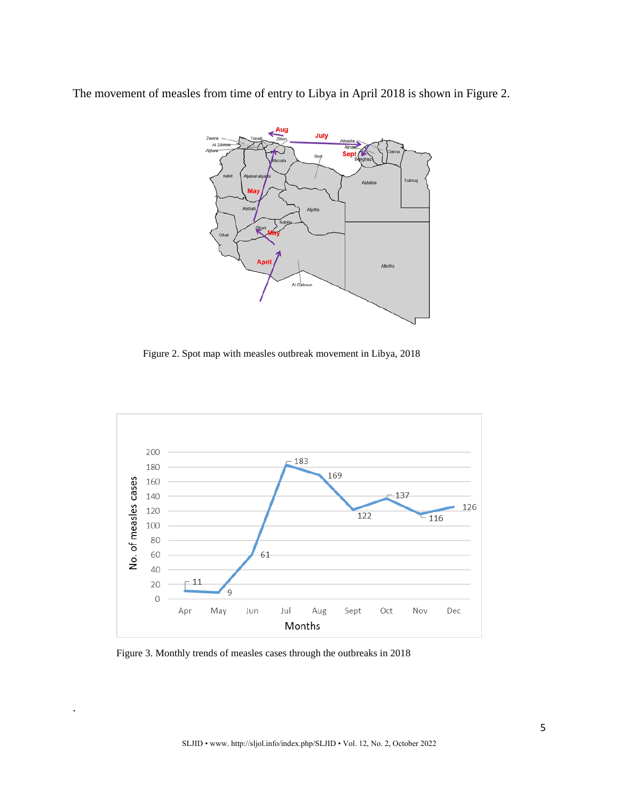The movement of measles from time of entry to Libya in April 2018 is shown in Figure 2.



Figure 2. Spot map with measles outbreak movement in Libya, 2018



Figure 3. Monthly trends of measles cases through the outbreaks in 2018

.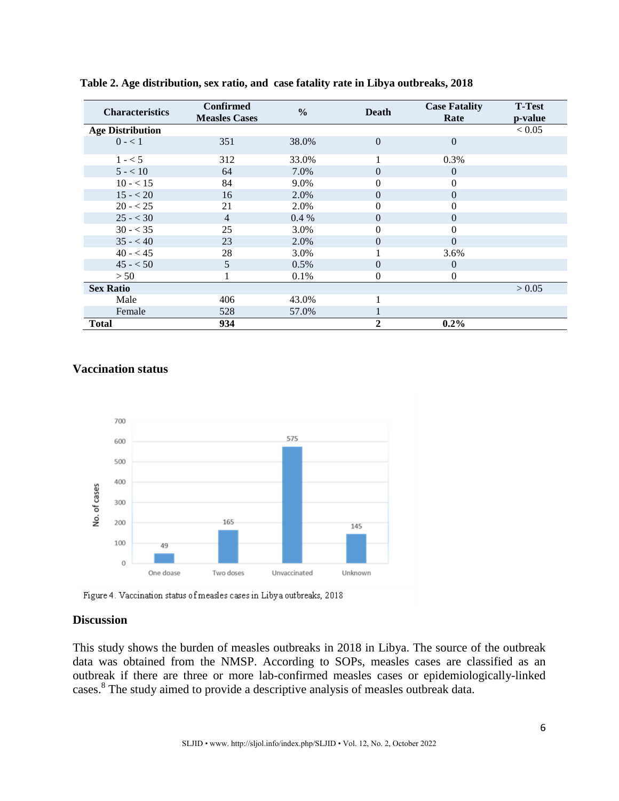| <b>Characteristics</b>  | <b>Confirmed</b><br><b>Measles Cases</b> | $\frac{0}{0}$ | <b>Death</b> | <b>Case Fatality</b><br>Rate | <b>T-Test</b><br>p-value |
|-------------------------|------------------------------------------|---------------|--------------|------------------------------|--------------------------|
| <b>Age Distribution</b> |                                          |               |              |                              | < 0.05                   |
| $0 - 1$                 | 351                                      | 38.0%         | $\theta$     | $\theta$                     |                          |
| $1 - 5$                 | 312                                      | 33.0%         |              | 0.3%                         |                          |
| $5 - < 10$              | 64                                       | 7.0%          | $\Omega$     | $\theta$                     |                          |
| $10 - 15$               | 84                                       | 9.0%          | 0            | 0                            |                          |
| $15 - 20$               | 16                                       | 2.0%          | $\Omega$     | $\Omega$                     |                          |
| $20 - 25$               | 21                                       | 2.0%          | 0            | 0                            |                          |
| $25 - 30$               | 4                                        | $0.4\%$       | $\Omega$     | 0                            |                          |
| $30 - 35$               | 25                                       | 3.0%          | $\theta$     | $\theta$                     |                          |
| $35 - 40$               | 23                                       | 2.0%          | $\theta$     | $\theta$                     |                          |
| $40 - 45$               | 28                                       | 3.0%          |              | 3.6%                         |                          |
| $45 - 50$               | 5                                        | 0.5%          | $\Omega$     | $\overline{0}$               |                          |
| > 50                    |                                          | 0.1%          | 0            | $\mathbf{0}$                 |                          |
| <b>Sex Ratio</b>        |                                          |               |              |                              | > 0.05                   |
| Male                    | 406                                      | 43.0%         |              |                              |                          |
| Female                  | 528                                      | 57.0%         |              |                              |                          |
| <b>Total</b>            | 934                                      |               | 2            | $0.2\%$                      |                          |

**Table 2. Age distribution, sex ratio, and case fatality rate in Libya outbreaks, 2018**

#### **Vaccination status**



Figure 4. Vaccination status of measles cases in Libya outbreaks, 2018

#### **Discussion**

This study shows the burden of measles outbreaks in 2018 in Libya. The source of the outbreak data was obtained from the NMSP. According to SOPs, measles cases are classified as an outbreak if there are three or more lab-confirmed measles cases or epidemiologically-linked cases.<sup>8</sup> The study aimed to provide a descriptive analysis of measles outbreak data.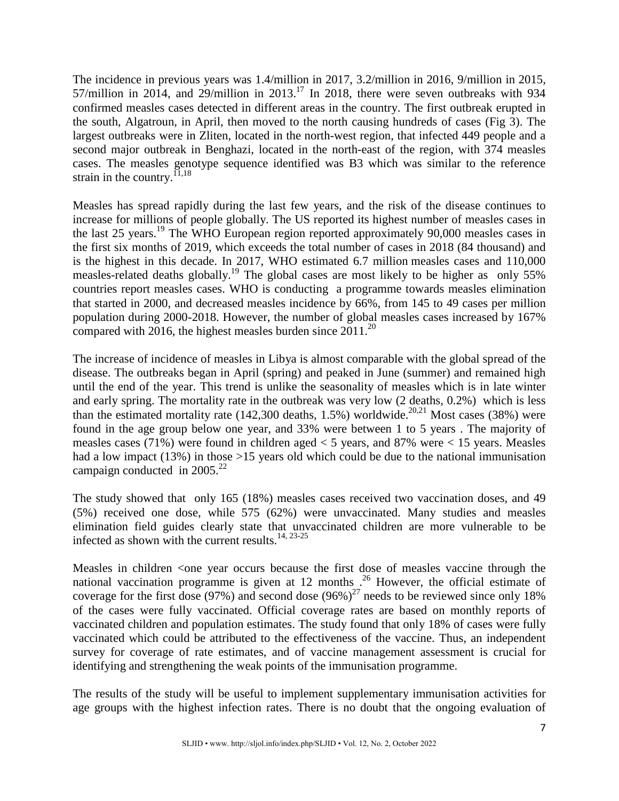The incidence in previous years was 1.4/million in 2017, 3.2/million in 2016, 9/million in 2015, 57/million in 2014, and 29/million in 2013.<sup>17</sup> In 2018, there were seven outbreaks with 934 confirmed measles cases detected in different areas in the country. The first outbreak erupted in the south, Algatroun, in April, then moved to the north causing hundreds of cases (Fig 3). The largest outbreaks were in Zliten, located in the north-west region, that infected 449 people and a second major outbreak in Benghazi, located in the north-east of the region, with 374 measles cases. The measles genotype sequence identified was B3 which was similar to the reference strain in the country.<sup>11,18</sup>

Measles has spread rapidly during the last few years, and the risk of the disease continues to increase for millions of people globally. The US reported its highest number of measles cases in the last 25 years.<sup>19</sup> The WHO European region reported approximately 90,000 measles cases in the first six months of 2019, which exceeds the total number of cases in 2018 (84 thousand) and is the highest in this decade. In 2017, WHO estimated 6.7 million measles cases and 110,000 measles-related deaths globally.19 The global cases are most likely to be higher as only 55% countries report measles cases. WHO is conducting a programme towards measles elimination that started in 2000, and decreased measles incidence by 66%, from 145 to 49 cases per million population during 2000-2018. However, the number of global measles cases increased by 167% compared with 2016, the highest measles burden since  $2011$ .<sup>20</sup>

The increase of incidence of measles in Libya is almost comparable with the global spread of the disease. The outbreaks began in April (spring) and peaked in June (summer) and remained high until the end of the year. This trend is unlike the seasonality of measles which is in late winter and early spring. The mortality rate in the outbreak was very low (2 deaths, 0.2%) which is less than the estimated mortality rate  $(142,300$  deaths, 1.5%) worldwide.<sup>20,21</sup> Most cases  $(38%)$  were found in the age group below one year, and 33% were between 1 to 5 years . The majority of measles cases (71%) were found in children aged < 5 years, and 87% were < 15 years. Measles had a low impact (13%) in those >15 years old which could be due to the national immunisation campaign conducted in 2005.<sup>22</sup>

The study showed that only 165 (18%) measles cases received two vaccination doses, and 49 (5%) received one dose, while 575 (62%) were unvaccinated. Many studies and measles elimination field guides clearly state that unvaccinated children are more vulnerable to be infected as shown with the current results.<sup>14, 23-25</sup>

Measles in children <one year occurs because the first dose of measles vaccine through the national vaccination programme is given at 12 months .<sup>26</sup> However, the official estimate of coverage for the first dose (97%) and second dose  $(96\%)^{27}$  needs to be reviewed since only 18% of the cases were fully vaccinated. Official coverage rates are based on monthly reports of vaccinated children and population estimates. The study found that only 18% of cases were fully vaccinated which could be attributed to the effectiveness of the vaccine. Thus, an independent survey for coverage of rate estimates, and of vaccine management assessment is crucial for identifying and strengthening the weak points of the immunisation programme.

The results of the study will be useful to implement supplementary immunisation activities for age groups with the highest infection rates. There is no doubt that the ongoing evaluation of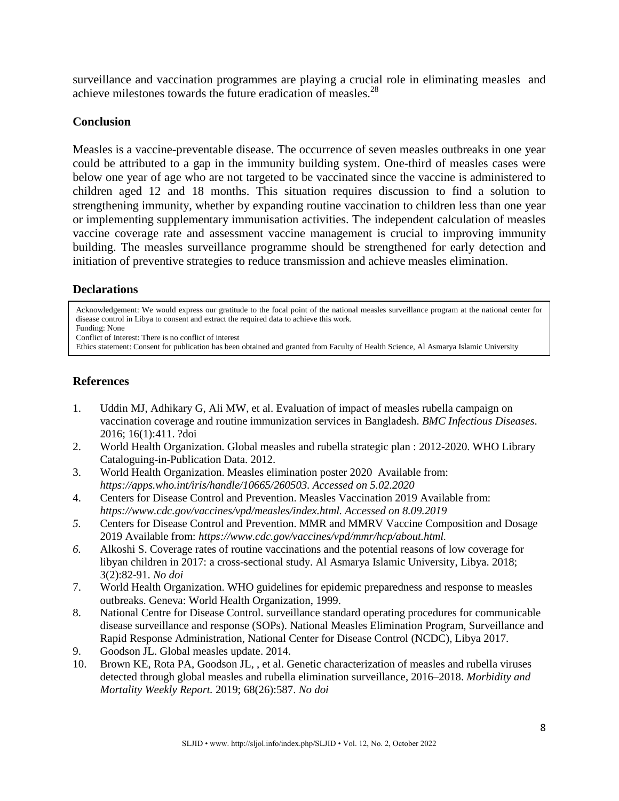surveillance and vaccination programmes are playing a crucial role in eliminating measles and achieve milestones towards the future eradication of measles.28

## **Conclusion**

Measles is a vaccine-preventable disease. The occurrence of seven measles outbreaks in one year could be attributed to a gap in the immunity building system. One-third of measles cases were below one year of age who are not targeted to be vaccinated since the vaccine is administered to children aged 12 and 18 months. This situation requires discussion to find a solution to strengthening immunity, whether by expanding routine vaccination to children less than one year or implementing supplementary immunisation activities. The independent calculation of measles vaccine coverage rate and assessment vaccine management is crucial to improving immunity building. The measles surveillance programme should be strengthened for early detection and initiation of preventive strategies to reduce transmission and achieve measles elimination.

# **Declarations**

Acknowledgement: We would express our gratitude to the focal point of the national measles surveillance program at the national center for disease control in Libya to consent and extract the required data to achieve this work. Funding: None

Conflict of Interest: There is no conflict of interest

Ethics statement: Consent for publication has been obtained and granted from Faculty of Health Science, Al Asmarya Islamic University

# **References**

- 1. Uddin MJ, Adhikary G, Ali MW, et al. Evaluation of impact of measles rubella campaign on vaccination coverage and routine immunization services in Bangladesh. *BMC Infectious Diseases*. 2016; 16(1):411. ?doi
- 2. World Health Organization. Global measles and rubella strategic plan : 2012-2020. WHO Library Cataloguing-in-Publication Data. 2012.
- 3. World Health Organization. Measles elimination poster 2020 Available from: *https://apps.who.int/iris/handle/10665/260503. Accessed on 5.02.2020*
- 4. Centers for Disease Control and Prevention. Measles Vaccination 2019 Available from: *https://www.cdc.gov/vaccines/vpd/measles/index.html. Accessed on 8.09.2019*
- *5.* Centers for Disease Control and Prevention. MMR and MMRV Vaccine Composition and Dosage 2019 Available from: *[https://www.cdc.gov/vaccines/vpd/mmr/hcp/about.html.](https://www.cdc.gov/vaccines/vpd/mmr/hcp/about.html)*
- *6.* Alkoshi S. Coverage rates of routine vaccinations and the potential reasons of low coverage for libyan children in 2017: a cross-sectional study. Al Asmarya Islamic University, Libya. 2018; 3(2):82-91. *No doi*
- 7. World Health Organization. WHO guidelines for epidemic preparedness and response to measles outbreaks. Geneva: World Health Organization, 1999.
- 8. National Centre for Disease Control. surveillance standard operating procedures for communicable disease surveillance and response (SOPs). National Measles Elimination Program, Surveillance and Rapid Response Administration, National Center for Disease Control (NCDC), Libya 2017.
- 9. Goodson JL. Global measles update. 2014.
- 10. Brown KE, Rota PA, Goodson JL, , et al. Genetic characterization of measles and rubella viruses detected through global measles and rubella elimination surveillance, 2016–2018. *Morbidity and Mortality Weekly Report.* 2019; 68(26):587. *No doi*